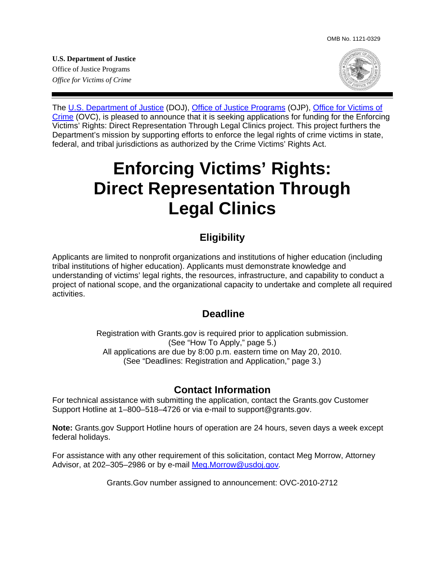**U.S. Department of Justice**  Office of Justice Programs *Office for Victims of Crime* 



The [U.S. Department of Justice](http://www.usdoj.gov/) (DOJ), [Office of Justice Programs](http://www.ojp.gov/flash.htm) (OJP), [Office for Victims of](http://www.ojp.usdoj.gov/ovc/)  [Crime](http://www.ojp.usdoj.gov/ovc/) (OVC), is pleased to announce that it is seeking applications for funding for the Enforcing Victims' Rights: Direct Representation Through Legal Clinics project. This project furthers the Department's mission by supporting efforts to enforce the legal rights of crime victims in state, federal, and tribal jurisdictions as authorized by the Crime Victims' Rights Act.

# **Enforcing Victims' Rights: Direct Representation Through Legal Clinics**

## **Eligibility**

Applicants are limited to nonprofit organizations and institutions of higher education (including tribal institutions of higher education). Applicants must demonstrate knowledge and understanding of victims' legal rights, the resources, infrastructure, and capability to conduct a project of national scope, and the organizational capacity to undertake and complete all required activities.

#### **Deadline**

Registration with Grants.gov is required prior to application submission. (See "How To Apply," page 5.) All applications are due by 8:00 p.m. eastern time on May 20, 2010. (See "Deadlines: Registration and Application," page 3.)

## **Contact Information**

For technical assistance with submitting the application, contact the Grants.gov Customer Support Hotline at 1–800–518–4726 or via e-mail to support@grants.gov.

**Note:** [Grants.gov](http://www.grants.gov/applicants/apply_for_grants.jsp) Support Hotline hours of operation are 24 hours, seven days a week except federal holidays.

For assistance with any other requirement of this solicitation, contact Meg Morrow, Attorney Advisor, at 202–305–2986 or by e-mail [Meg.Morrow@usdoj.gov](mailto:Meg.Morrow@usdoj.gov)*.*

Grants.Gov number assigned to announcement: OVC-2010-2712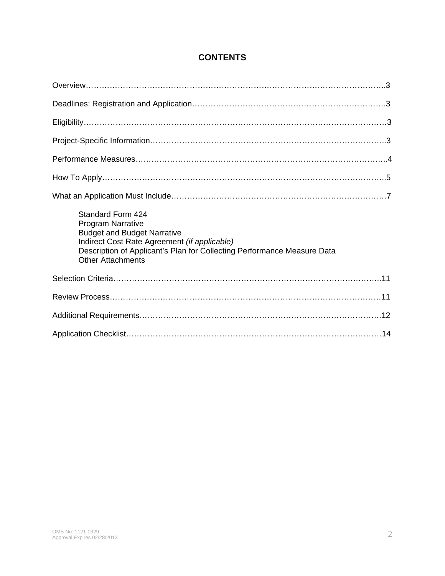#### **CONTENTS**

| Standard Form 424<br><b>Program Narrative</b><br><b>Budget and Budget Narrative</b><br>Indirect Cost Rate Agreement (if applicable)<br>Description of Applicant's Plan for Collecting Performance Measure Data<br><b>Other Attachments</b> |  |  |
|--------------------------------------------------------------------------------------------------------------------------------------------------------------------------------------------------------------------------------------------|--|--|
|                                                                                                                                                                                                                                            |  |  |
|                                                                                                                                                                                                                                            |  |  |
|                                                                                                                                                                                                                                            |  |  |
|                                                                                                                                                                                                                                            |  |  |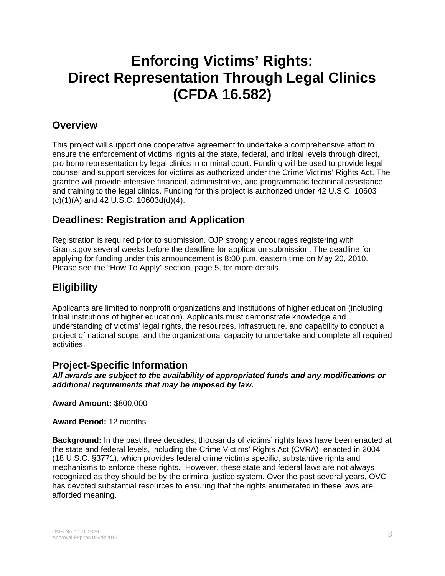## **Enforcing Victims' Rights: Direct Representation Through Legal Clinics (CFDA 16.582)**

## **Overview**

This project will support one cooperative agreement to undertake a comprehensive effort to ensure the enforcement of victims' rights at the state, federal, and tribal levels through direct, pro bono representation by legal clinics in criminal court. Funding will be used to provide legal counsel and support services for victims as authorized under the Crime Victims' Rights Act. The grantee will provide intensive financial, administrative, and programmatic technical assistance and training to the legal clinics. Funding for this project is authorized under 42 U.S.C. 10603 (c)(1)(A) and 42 U.S.C. 10603d(d)(4).

## **Deadlines: Registration and Application**

Registration is required prior to submission. OJP strongly encourages registering with Grants.gov several weeks before the deadline for application submission. The deadline for applying for funding under this announcement is 8:00 p.m. eastern time on May 20, 2010. Please see the "How To Apply" section, page 5, for more details.

## **Eligibility**

Applicants are limited to nonprofit organizations and institutions of higher education (including tribal institutions of higher education). Applicants must demonstrate knowledge and understanding of victims' legal rights, the resources, infrastructure, and capability to conduct a project of national scope, and the organizational capacity to undertake and complete all required activities.

#### **Project-Specific Information**

*All awards are subject to the availability of appropriated funds and any modifications or additional requirements that may be imposed by law.* 

**Award Amount:** \$800,000

**Award Period:** 12 months

**Background:** In the past three decades, thousands of victims' rights laws have been enacted at the state and federal levels, including the Crime Victims' Rights Act (CVRA), enacted in 2004 (18 U.S.C. §3771), which provides federal crime victims specific, substantive rights and mechanisms to enforce these rights. However, these state and federal laws are not always recognized as they should be by the criminal justice system. Over the past several years, OVC has devoted substantial resources to ensuring that the rights enumerated in these laws are afforded meaning.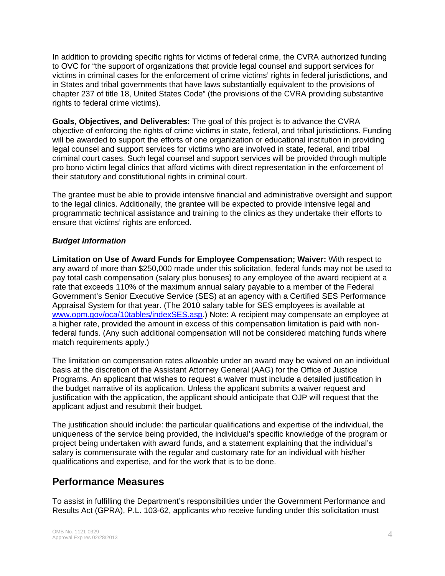In addition to providing specific rights for victims of federal crime, the CVRA authorized funding to OVC for "the support of organizations that provide legal counsel and support services for victims in criminal cases for the enforcement of crime victims' rights in federal jurisdictions, and in States and tribal governments that have laws substantially equivalent to the provisions of chapter 237 of title 18, United States Code" (the provisions of the CVRA providing substantive rights to federal crime victims).

**Goals, Objectives, and Deliverables:** The goal of this project is to advance the CVRA objective of enforcing the rights of crime victims in state, federal, and tribal jurisdictions. Funding will be awarded to support the efforts of one organization or educational institution in providing legal counsel and support services for victims who are involved in state, federal, and tribal criminal court cases. Such legal counsel and support services will be provided through multiple pro bono victim legal clinics that afford victims with direct representation in the enforcement of their statutory and constitutional rights in criminal court.

The grantee must be able to provide intensive financial and administrative oversight and support to the legal clinics. Additionally, the grantee will be expected to provide intensive legal and programmatic technical assistance and training to the clinics as they undertake their efforts to ensure that victims' rights are enforced.

#### *Budget Information*

**Limitation on Use of Award Funds for Employee Compensation; Waiver:** With respect to any award of more than \$250,000 made under this solicitation, federal funds may not be used to pay total cash compensation (salary plus bonuses) to any employee of the award recipient at a rate that exceeds 110% of the maximum annual salary payable to a member of the Federal Government's Senior Executive Service (SES) at an agency with a Certified SES Performance Appraisal System for that year. (The 2010 salary table for SES employees is available at [www.opm.gov/oca/10tables/indexSES.asp.](http://www.opm.gov/oca/10tables/indexSES.asp)) Note: A recipient may compensate an employee at a higher rate, provided the amount in excess of this compensation limitation is paid with nonfederal funds. (Any such additional compensation will not be considered matching funds where match requirements apply.)

The limitation on compensation rates allowable under an award may be waived on an individual basis at the discretion of the Assistant Attorney General (AAG) for the Office of Justice Programs. An applicant that wishes to request a waiver must include a detailed justification in the budget narrative of its application. Unless the applicant submits a waiver request and justification with the application, the applicant should anticipate that OJP will request that the applicant adjust and resubmit their budget.

The justification should include: the particular qualifications and expertise of the individual, the uniqueness of the service being provided, the individual's specific knowledge of the program or project being undertaken with award funds, and a statement explaining that the individual's salary is commensurate with the regular and customary rate for an individual with his/her qualifications and expertise, and for the work that is to be done.

#### **Performance Measures**

To assist in fulfilling the Department's responsibilities under the Government Performance and Results Act (GPRA), P.L. 103-62, applicants who receive funding under this solicitation must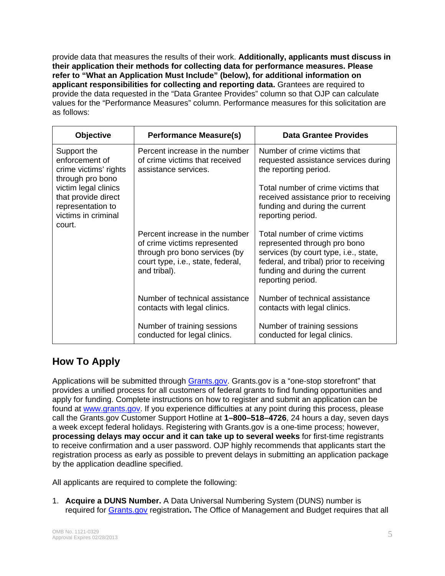provide data that measures the results of their work. **Additionally, applicants must discuss in their application their methods for collecting data for performance measures. Please refer to "What an Application Must Include" (below), for additional information on applicant responsibilities for collecting and reporting data.** Grantees are required to provide the data requested in the "Data Grantee Provides" column so that OJP can calculate values for the "Performance Measures" column. Performance measures for this solicitation are as follows:

| <b>Objective</b>                                                                                                                                                                | <b>Performance Measure(s)</b>                                                                                                                        | <b>Data Grantee Provides</b>                                                                                                                                                                             |
|---------------------------------------------------------------------------------------------------------------------------------------------------------------------------------|------------------------------------------------------------------------------------------------------------------------------------------------------|----------------------------------------------------------------------------------------------------------------------------------------------------------------------------------------------------------|
| Support the<br>enforcement of<br>crime victims' rights<br>through pro bono<br>victim legal clinics<br>that provide direct<br>representation to<br>victims in criminal<br>court. | Percent increase in the number<br>of crime victims that received<br>assistance services.                                                             | Number of crime victims that<br>requested assistance services during<br>the reporting period.                                                                                                            |
|                                                                                                                                                                                 |                                                                                                                                                      | Total number of crime victims that<br>received assistance prior to receiving<br>funding and during the current<br>reporting period.                                                                      |
|                                                                                                                                                                                 | Percent increase in the number<br>of crime victims represented<br>through pro bono services (by<br>court type, i.e., state, federal,<br>and tribal). | Total number of crime victims<br>represented through pro bono<br>services (by court type, i.e., state,<br>federal, and tribal) prior to receiving<br>funding and during the current<br>reporting period. |
|                                                                                                                                                                                 | Number of technical assistance<br>contacts with legal clinics.                                                                                       | Number of technical assistance<br>contacts with legal clinics.                                                                                                                                           |
|                                                                                                                                                                                 | Number of training sessions<br>conducted for legal clinics.                                                                                          | Number of training sessions<br>conducted for legal clinics.                                                                                                                                              |

## **How To Apply**

Applications will be submitted through [Grants.gov.](http://www.grants.gov/) Grants.gov is a "one-stop storefront" that provides a unified process for all customers of federal grants to find funding opportunities and apply for funding. Complete instructions on how to register and submit an application can be found at [www.grants.gov](http://www.grants.gov/). If you experience difficulties at any point during this process, please call the Grants.gov Customer Support Hotline at **1–800–518–4726**, 24 hours a day, seven days a week except federal holidays. Registering with Grants.gov is a one-time process; however, **processing delays may occur and it can take up to several weeks** for first-time registrants to receive confirmation and a user password. OJP highly recommends that applicants start the registration process as early as possible to prevent delays in submitting an application package by the application deadline specified.

All applicants are required to complete the following:

1. **Acquire a DUNS Number.** A Data Universal Numbering System (DUNS) number is required for [Grants.gov](http://www.grants.gov/index.jsp) registration**.** The Office of Management and Budget requires that all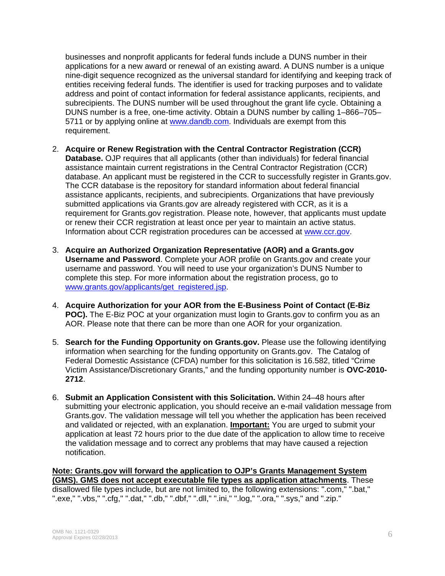businesses and nonprofit applicants for federal funds include a DUNS number in their applications for a new award or renewal of an existing award. A DUNS number is a unique nine-digit sequence recognized as the universal standard for identifying and keeping track of entities receiving federal funds. The identifier is used for tracking purposes and to validate address and point of contact information for federal assistance applicants, recipients, and subrecipients. The DUNS number will be used throughout the grant life cycle. Obtaining a DUNS number is a free, one-time activity. Obtain a DUNS number by calling 1–866–705– 5711 or by applying online at www.dandb.com. Individuals are exempt from this requirement.

- 2. **Acquire or Renew Registration with the Central Contractor Registration (CCR) Database.** OJP requires that all applicants (other than individuals) for federal financial assistance maintain current registrations in the Central Contractor Registration (CCR) database. An applicant must be registered in the CCR to successfully register in Grants.gov. The CCR database is the repository for standard information about federal financial assistance applicants, recipients, and subrecipients. Organizations that have previously submitted applications via Grants.gov are already registered with CCR, as it is a requirement for Grants.gov registration. Please note, however, that applicants must update or renew their CCR registration at least once per year to maintain an active status. Information about CCR registration procedures can be accessed at [www.ccr.gov](http://www.ccr.gov/).
- 3. **Acquire an Authorized Organization Representative (AOR) and a Grants.gov Username and Password**. Complete your AOR profile on Grants.gov and create your username and password. You will need to use your organization's DUNS Number to complete this step. For more information about the registration process, go to [www.grants.gov/applicants/get\\_registered.jsp](http://www.grants.gov/applicants/get_registered.jsp).
- 4. **Acquire Authorization for your AOR from the E-Business Point of Contact (E-Biz POC).** The E-Biz POC at your organization must login to Grants.gov to confirm you as an AOR. Please note that there can be more than one AOR for your organization.
- 5. **Search for the Funding Opportunity on Grants.gov.** Please use the following identifying information when searching for the funding opportunity on Grants.gov. The Catalog of Federal Domestic Assistance (CFDA) number for this solicitation is 16.582, titled "Crime Victim Assistance/Discretionary Grants," and the funding opportunity number is **OVC-2010- 2712**.
- 6. **Submit an Application Consistent with this Solicitation.** Within 24–48 hours after submitting your electronic application, you should receive an e-mail validation message from Grants.gov. The validation message will tell you whether the application has been received and validated or rejected, with an explanation. **Important:** You are urged to submit your application at least 72 hours prior to the due date of the application to allow time to receive the validation message and to correct any problems that may have caused a rejection notification.

**Note: Grants.gov will forward the application to OJP's Grants Management System (GMS). GMS does not accept executable file types as application attachments**. These disallowed file types include, but are not limited to, the following extensions: ".com," ".bat," ".exe," ".vbs," ".cfg," ".dat," ".db," ".dbf," ".dll," ".ini," ".log," ".ora," ".sys," and ".zip."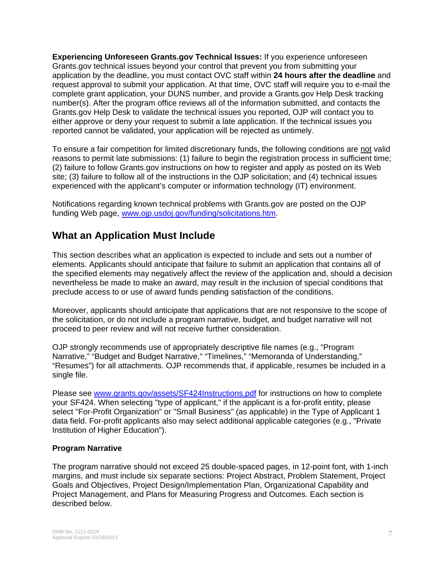**Experiencing Unforeseen Grants.gov Technical Issues:** If you experience unforeseen Grants.gov technical issues beyond your control that prevent you from submitting your application by the deadline, you must contact OVC staff within **24 hours after the deadline** and request approval to submit your application. At that time, OVC staff will require you to e-mail the complete grant application, your DUNS number, and provide a Grants.gov Help Desk tracking number(s). After the program office reviews all of the information submitted, and contacts the Grants.gov Help Desk to validate the technical issues you reported, OJP will contact you to either approve or deny your request to submit a late application. If the technical issues you reported cannot be validated, your application will be rejected as untimely.

To ensure a fair competition for limited discretionary funds, the following conditions are not valid reasons to permit late submissions: (1) failure to begin the registration process in sufficient time; (2) failure to follow Grants.gov instructions on how to register and apply as posted on its Web site; (3) failure to follow all of the instructions in the OJP solicitation; and (4) technical issues experienced with the applicant's computer or information technology (IT) environment.

Notifications regarding known technical problems with Grants.gov are posted on the OJP funding Web page, [www.ojp.usdoj.gov/funding/solicitations.htm.](http://www.ojp.gov/funding/solicitations.htm)

## **What an Application Must Include**

This section describes what an application is expected to include and sets out a number of elements. Applicants should anticipate that failure to submit an application that contains all of the specified elements may negatively affect the review of the application and, should a decision nevertheless be made to make an award, may result in the inclusion of special conditions that preclude access to or use of award funds pending satisfaction of the conditions.

Moreover, applicants should anticipate that applications that are not responsive to the scope of the solicitation, or do not include a program narrative, budget, and budget narrative will not proceed to peer review and will not receive further consideration.

OJP strongly recommends use of appropriately descriptive file names (e.g., "Program Narrative," "Budget and Budget Narrative," "Timelines," "Memoranda of Understanding," "Resumes") for all attachments. OJP recommends that, if applicable, resumes be included in a single file.

Please see [www.grants.gov/assets/SF424Instructions.pdf](http://www.grants.gov/assets/SF424Instructions.pdf) for instructions on how to complete your SF424. When selecting "type of applicant," if the applicant is a for-profit entity, please select "For-Profit Organization" or "Small Business" (as applicable) in the Type of Applicant 1 data field. For-profit applicants also may select additional applicable categories (e.g., "Private Institution of Higher Education").

#### **Program Narrative**

The program narrative should not exceed 25 double-spaced pages, in 12-point font, with 1-inch margins, and must include six separate sections: Project Abstract, Problem Statement, Project Goals and Objectives, Project Design/Implementation Plan, Organizational Capability and Project Management, and Plans for Measuring Progress and Outcomes. Each section is described below.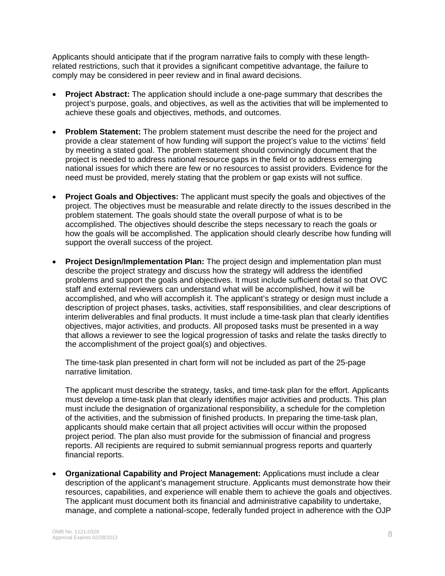Applicants should anticipate that if the program narrative fails to comply with these lengthrelated restrictions, such that it provides a significant competitive advantage, the failure to comply may be considered in peer review and in final award decisions.

- **Project Abstract:** The application should include a one-page summary that describes the project's purpose, goals, and objectives, as well as the activities that will be implemented to achieve these goals and objectives, methods, and outcomes.
- **Problem Statement:** The problem statement must describe the need for the project and provide a clear statement of how funding will support the project's value to the victims' field by meeting a stated goal. The problem statement should convincingly document that the project is needed to address national resource gaps in the field or to address emerging national issues for which there are few or no resources to assist providers. Evidence for the need must be provided, merely stating that the problem or gap exists will not suffice.
- **Project Goals and Objectives:** The applicant must specify the goals and objectives of the project. The objectives must be measurable and relate directly to the issues described in the problem statement. The goals should state the overall purpose of what is to be accomplished. The objectives should describe the steps necessary to reach the goals or how the goals will be accomplished. The application should clearly describe how funding will support the overall success of the project.
- **Project Design/Implementation Plan:** The project design and implementation plan must describe the project strategy and discuss how the strategy will address the identified problems and support the goals and objectives. It must include sufficient detail so that OVC staff and external reviewers can understand what will be accomplished, how it will be accomplished, and who will accomplish it. The applicant's strategy or design must include a description of project phases, tasks, activities, staff responsibilities, and clear descriptions of interim deliverables and final products. It must include a time-task plan that clearly identifies objectives, major activities, and products. All proposed tasks must be presented in a way that allows a reviewer to see the logical progression of tasks and relate the tasks directly to the accomplishment of the project goal(s) and objectives.

The time-task plan presented in chart form will not be included as part of the 25-page narrative limitation.

The applicant must describe the strategy, tasks, and time-task plan for the effort. Applicants must develop a time-task plan that clearly identifies major activities and products. This plan must include the designation of organizational responsibility, a schedule for the completion of the activities, and the submission of finished products. In preparing the time-task plan, applicants should make certain that all project activities will occur within the proposed project period. The plan also must provide for the submission of financial and progress reports. All recipients are required to submit semiannual progress reports and quarterly financial reports.

• **Organizational Capability and Project Management:** Applications must include a clear description of the applicant's management structure. Applicants must demonstrate how their resources, capabilities, and experience will enable them to achieve the goals and objectives. The applicant must document both its financial and administrative capability to undertake, manage, and complete a national-scope, federally funded project in adherence with the OJP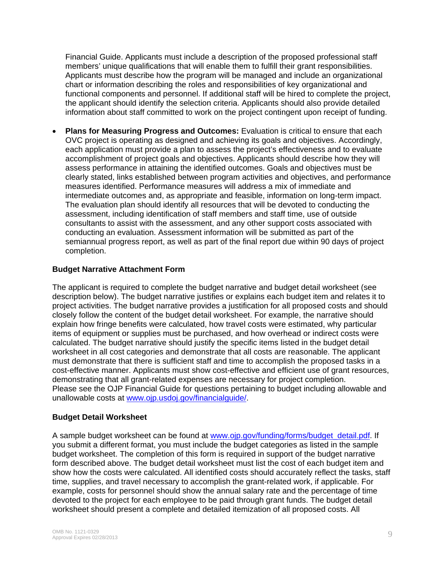Financial Guide. Applicants must include a description of the proposed professional staff members' unique qualifications that will enable them to fulfill their grant responsibilities. Applicants must describe how the program will be managed and include an organizational chart or information describing the roles and responsibilities of key organizational and functional components and personnel. If additional staff will be hired to complete the project, the applicant should identify the selection criteria. Applicants should also provide detailed information about staff committed to work on the project contingent upon receipt of funding.

• **Plans for Measuring Progress and Outcomes:** Evaluation is critical to ensure that each OVC project is operating as designed and achieving its goals and objectives. Accordingly, each application must provide a plan to assess the project's effectiveness and to evaluate accomplishment of project goals and objectives. Applicants should describe how they will assess performance in attaining the identified outcomes. Goals and objectives must be clearly stated, links established between program activities and objectives, and performance measures identified. Performance measures will address a mix of immediate and intermediate outcomes and, as appropriate and feasible, information on long-term impact. The evaluation plan should identify all resources that will be devoted to conducting the assessment, including identification of staff members and staff time, use of outside consultants to assist with the assessment, and any other support costs associated with conducting an evaluation. Assessment information will be submitted as part of the semiannual progress report, as well as part of the final report due within 90 days of project completion.

#### **Budget Narrative Attachment Form**

The applicant is required to complete the budget narrative and budget detail worksheet (see description below). The budget narrative justifies or explains each budget item and relates it to project activities. The budget narrative provides a justification for all proposed costs and should closely follow the content of the budget detail worksheet. For example, the narrative should explain how fringe benefits were calculated, how travel costs were estimated, why particular items of equipment or supplies must be purchased, and how overhead or indirect costs were calculated. The budget narrative should justify the specific items listed in the budget detail worksheet in all cost categories and demonstrate that all costs are reasonable. The applicant must demonstrate that there is sufficient staff and time to accomplish the proposed tasks in a cost-effective manner. Applicants must show cost-effective and efficient use of grant resources, demonstrating that all grant-related expenses are necessary for project completion. Please see the OJP Financial Guide for questions pertaining to budget including allowable and unallowable costs at [www.ojp.usdoj.gov/financialguide/](http://www.ojp.usdoj.gov/financialguide/).

#### **Budget Detail Worksheet**

A sample budget worksheet can be found at [www.ojp.gov/funding/forms/budget\\_detail.pdf](http://www.ojp.gov/funding/forms/budget_detail.pdf). If you submit a different format, you must include the budget categories as listed in the sample budget worksheet. The completion of this form is required in support of the budget narrative form described above. The budget detail worksheet must list the cost of each budget item and show how the costs were calculated. All identified costs should accurately reflect the tasks, staff time, supplies, and travel necessary to accomplish the grant-related work, if applicable. For example, costs for personnel should show the annual salary rate and the percentage of time devoted to the project for each employee to be paid through grant funds. The budget detail worksheet should present a complete and detailed itemization of all proposed costs. All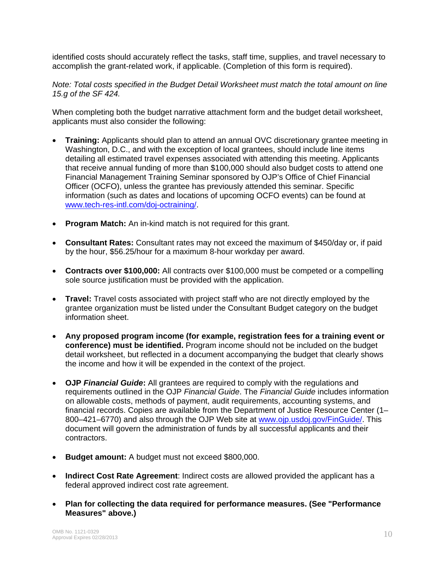identified costs should accurately reflect the tasks, staff time, supplies, and travel necessary to accomplish the grant-related work, if applicable. (Completion of this form is required).

*Note: Total costs specified in the Budget Detail Worksheet must match the total amount on line 15.g of the SF 424.* 

When completing both the budget narrative attachment form and the budget detail worksheet, applicants must also consider the following:

- **Training:** Applicants should plan to attend an annual OVC discretionary grantee meeting in Washington, D.C., and with the exception of local grantees, should include line items detailing all estimated travel expenses associated with attending this meeting. Applicants that receive annual funding of more than \$100,000 should also budget costs to attend one Financial Management Training Seminar sponsored by OJP's Office of Chief Financial Officer (OCFO), unless the grantee has previously attended this seminar. Specific information (such as dates and locations of upcoming OCFO events) can be found at [www.tech-res-intl.com/doj-octraining/](http://www.tech-res-intl.com/doj-octraining/).
- **Program Match:** An in-kind match is not required for this grant.
- **Consultant Rates:** Consultant rates may not exceed the maximum of \$450/day or, if paid by the hour, \$56.25/hour for a maximum 8-hour workday per award.
- **Contracts over \$100,000:** All contracts over \$100,000 must be competed or a compelling sole source justification must be provided with the application.
- **Travel:** Travel costs associated with project staff who are not directly employed by the grantee organization must be listed under the Consultant Budget category on the budget information sheet.
- **Any proposed program income (for example, registration fees for a training event or conference) must be identified.** Program income should not be included on the budget detail worksheet, but reflected in a document accompanying the budget that clearly shows the income and how it will be expended in the context of the project.
- **OJP** *Financial Guide***:** All grantees are required to comply with the regulations and requirements outlined in the OJP *Financial Guide*. The *Financial Guide* includes information on allowable costs, methods of payment, audit requirements, accounting systems, and financial records. Copies are available from the Department of Justice Resource Center (1– 800-421-6770) and also through the OJP Web site at [www.ojp.usdoj.gov/FinGuide/](http://www.ojp.usdoj.gov/FinGuide/). This document will govern the administration of funds by all successful applicants and their contractors.
- **Budget amount:** A budget must not exceed \$800,000.
- **Indirect Cost Rate Agreement**: Indirect costs are allowed provided the applicant has a federal approved indirect cost rate agreement.
- **Plan for collecting the data required for performance measures. (See "Performance Measures" above.)**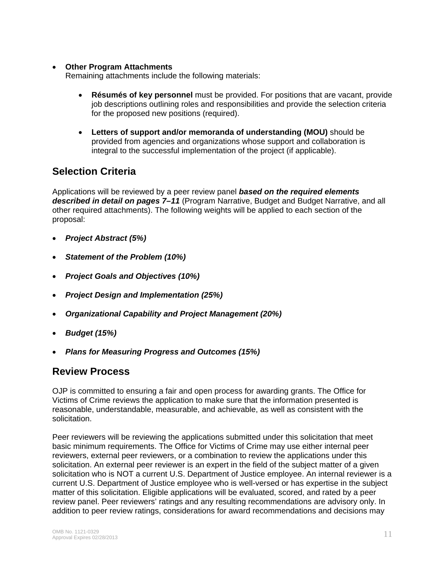#### • **Other Program Attachments**

Remaining attachments include the following materials:

- **Résumés of key personnel** must be provided. For positions that are vacant, provide job descriptions outlining roles and responsibilities and provide the selection criteria for the proposed new positions (required).
- **Letters of support and/or memoranda of understanding (MOU)** should be provided from agencies and organizations whose support and collaboration is integral to the successful implementation of the project (if applicable).

## **Selection Criteria**

Applications will be reviewed by a peer review panel *based on the required elements described in detail on pages 7–11* (Program Narrative, Budget and Budget Narrative, and all other required attachments). The following weights will be applied to each section of the proposal:

- *Project Abstract (5%)*
- *Statement of the Problem (10%)*
- *Project Goals and Objectives (10%)*
- *Project Design and Implementation (25%)*
- *Organizational Capability and Project Management (20%)*
- *Budget (15%)*
- *Plans for Measuring Progress and Outcomes (15%)*

#### **Review Process**

OJP is committed to ensuring a fair and open process for awarding grants. The Office for Victims of Crime reviews the application to make sure that the information presented is reasonable, understandable, measurable, and achievable, as well as consistent with the solicitation.

Peer reviewers will be reviewing the applications submitted under this solicitation that meet basic minimum requirements. The Office for Victims of Crime may use either internal peer reviewers, external peer reviewers, or a combination to review the applications under this solicitation. An external peer reviewer is an expert in the field of the subject matter of a given solicitation who is NOT a current U.S. Department of Justice employee. An internal reviewer is a current U.S. Department of Justice employee who is well-versed or has expertise in the subject matter of this solicitation. Eligible applications will be evaluated, scored, and rated by a peer review panel. Peer reviewers' ratings and any resulting recommendations are advisory only. In addition to peer review ratings, considerations for award recommendations and decisions may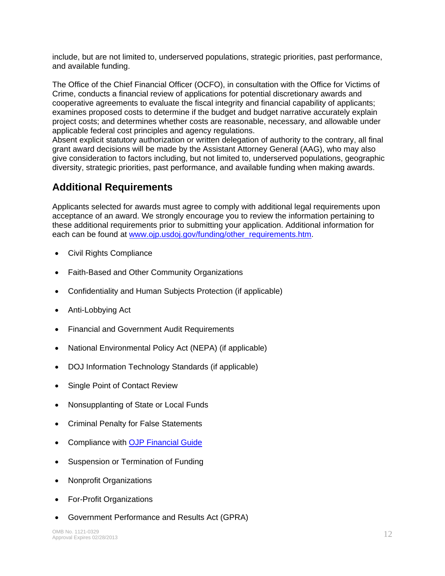include, but are not limited to, underserved populations, strategic priorities, past performance, and available funding.

The Office of the Chief Financial Officer (OCFO), in consultation with the Office for Victims of Crime, conducts a financial review of applications for potential discretionary awards and cooperative agreements to evaluate the fiscal integrity and financial capability of applicants; examines proposed costs to determine if the budget and budget narrative accurately explain project costs; and determines whether costs are reasonable, necessary, and allowable under applicable federal cost principles and agency regulations.

Absent explicit statutory authorization or written delegation of authority to the contrary, all final grant award decisions will be made by the Assistant Attorney General (AAG), who may also give consideration to factors including, but not limited to, underserved populations, geographic diversity, strategic priorities, past performance, and available funding when making awards.

## **Additional Requirements**

Applicants selected for awards must agree to comply with additional legal requirements upon acceptance of an award. We strongly encourage you to review the information pertaining to these additional requirements prior to submitting your application. Additional information for each can be found at [www.ojp.usdoj.gov/funding/other\\_requirements.htm.](http://www.ojp.usdoj.gov/funding/other_requirements.htm)

- [Civil Rights Compliance](http://www.ojp.usdoj.gov/about/ocr/statutes.htm)
- Faith-Based and Other Community Organizations
- Confidentiality and Human Subjects Protection (if applicable)
- Anti-Lobbying Act
- Financial and Government Audit Requirements
- National Environmental Policy Act (NEPA) (if applicable)
- DOJ Information Technology Standards (if applicable)
- Single Point of Contact Review
- Nonsupplanting of State or Local Funds
- Criminal Penalty for False Statements
- Compliance with [OJP Financial Guide](http://www.ojp.usdoj.gov/financialguide/index.htm)
- Suspension or Termination of Funding
- Nonprofit Organizations
- For-Profit Organizations
- Government Performance and Results Act (GPRA)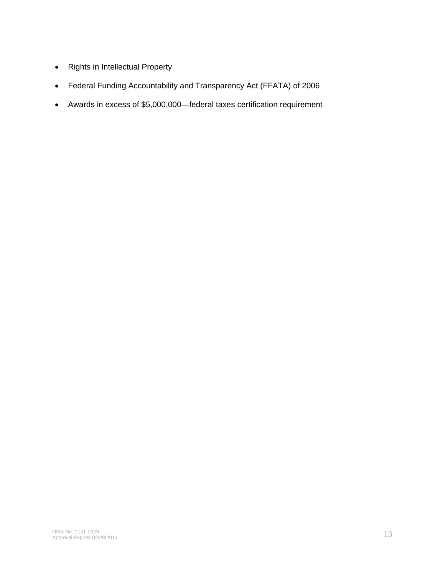- Rights in Intellectual Property
- Federal Funding Accountability and Transparency Act (FFATA) of 2006
- Awards in excess of \$5,000,000—federal taxes certification requirement